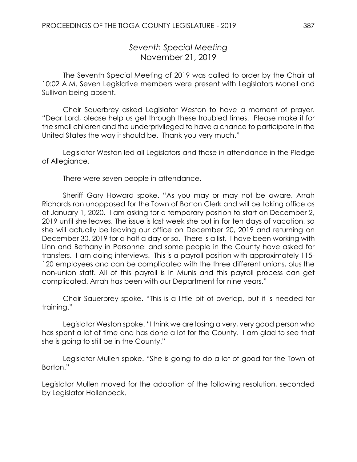*Seventh Special Meeting* November 21, 2019

The Seventh Special Meeting of 2019 was called to order by the Chair at 10:02 A.M. Seven Legislative members were present with Legislators Monell and Sullivan being absent.

Chair Sauerbrey asked Legislator Weston to have a moment of prayer. "Dear Lord, please help us get through these troubled times. Please make it for the small children and the underprivileged to have a chance to participate in the United States the way it should be. Thank you very much."

Legislator Weston led all Legislators and those in attendance in the Pledge of Allegiance.

There were seven people in attendance.

Sheriff Gary Howard spoke. "As you may or may not be aware, Arrah Richards ran unopposed for the Town of Barton Clerk and will be taking office as of January 1, 2020. I am asking for a temporary position to start on December 2, 2019 until she leaves. The issue is last week she put in for ten days of vacation, so she will actually be leaving our office on December 20, 2019 and returning on December 30, 2019 for a half a day or so. There is a list. I have been working with Linn and Bethany in Personnel and some people in the County have asked for transfers. I am doing interviews. This is a payroll position with approximately 115- 120 employees and can be complicated with the three different unions, plus the non-union staff. All of this payroll is in Munis and this payroll process can get complicated. Arrah has been with our Department for nine years."

Chair Sauerbrey spoke. "This is a little bit of overlap, but it is needed for training."

Legislator Weston spoke. "I think we are losing a very, very good person who has spent a lot of time and has done a lot for the County. I am glad to see that she is going to still be in the County."

Legislator Mullen spoke. "She is going to do a lot of good for the Town of Barton."

Legislator Mullen moved for the adoption of the following resolution, seconded by Legislator Hollenbeck.